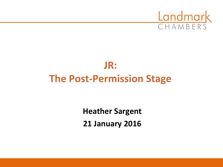

# **JR: The Post-Permission Stage**

**Heather Sargent 21 January 2016**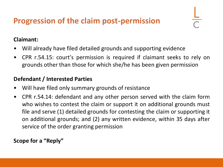## **Progression of the claim post-permission**

#### **Claimant:**

- Will already have filed detailed grounds and supporting evidence
- CPR r.54.15: court's permission is required if claimant seeks to rely on grounds other than those for which she/he has been given permission

#### **Defendant / Interested Parties**

- Will have filed only summary grounds of resistance
- CPR r.54.14: defendant and any other person served with the claim form who wishes to contest the claim or support it on additional grounds must file and serve (1) detailed grounds for contesting the claim or supporting it on additional grounds; and (2) any written evidence, within 35 days after service of the order granting permission

**Scope for a "Reply"**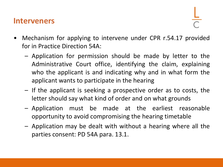#### **Interveners**

- Mechanism for applying to intervene under CPR r.54.17 provided for in Practice Direction 54A:
	- Application for permission should be made by letter to the Administrative Court office, identifying the claim, explaining who the applicant is and indicating why and in what form the applicant wants to participate in the hearing
	- If the applicant is seeking a prospective order as to costs, the letter should say what kind of order and on what grounds
	- Application must be made at the earliest reasonable opportunity to avoid compromising the hearing timetable
	- Application may be dealt with without a hearing where all the parties consent: PD 54A para. 13.1.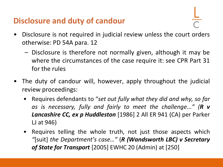## **Disclosure and duty of candour**

- 
- Disclosure is not required in judicial review unless the court orders otherwise: PD 54A para. 12
	- Disclosure is therefore not normally given, although it may be where the circumstances of the case require it: see CPR Part 31 for the rules
- The duty of candour will, however, apply throughout the judicial review proceedings:
	- Requires defendants to "*set out fully what they did and why, so far as is necessary, fully and fairly to meet the challenge..." (R v Lancashire CC, ex p Huddleston* [1986] 2 All ER 941 (CA) per Parker LJ at 946)
	- Requires telling the whole truth, not just those aspects which *"*[suit] *the Department's case…"* (*R (Wandsworth LBC) v Secretary of State for Transport* [2005] EWHC 20 (Admin) at [250]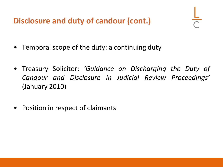**Disclosure and duty of candour (cont.)**

- Temporal scope of the duty: a continuing duty
- Treasury Solicitor: *'Guidance on Discharging the Duty of Candour and Disclosure in Judicial Review Proceedings'* (January 2010)
- Position in respect of claimants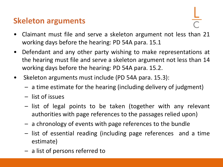#### **Skeleton arguments**

- Claimant must file and serve a skeleton argument not less than 21 working days before the hearing: PD 54A para. 15.1
- Defendant and any other party wishing to make representations at the hearing must file and serve a skeleton argument not less than 14 working days before the hearing: PD 54A para. 15.2.
- Skeleton arguments must include (PD 54A para. 15.3):
	- a time estimate for the hearing (including delivery of judgment)
	- list of issues
	- list of legal points to be taken (together with any relevant authorities with page references to the passages relied upon)
	- a chronology of events with page references to the bundle
	- list of essential reading (including page references and a time estimate)
	- a list of persons referred to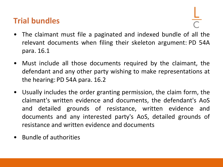#### **Trial bundles**

- The claimant must file a paginated and indexed bundle of all the relevant documents when filing their skeleton argument: PD 54A para. 16.1
- Must include all those documents required by the claimant, the defendant and any other party wishing to make representations at the hearing: PD 54A para. 16.2
- Usually includes the order granting permission, the claim form, the claimant's written evidence and documents, the defendant's AoS and detailed grounds of resistance, written evidence and documents and any interested party's AoS, detailed grounds of resistance and written evidence and documents
- Bundle of authorities